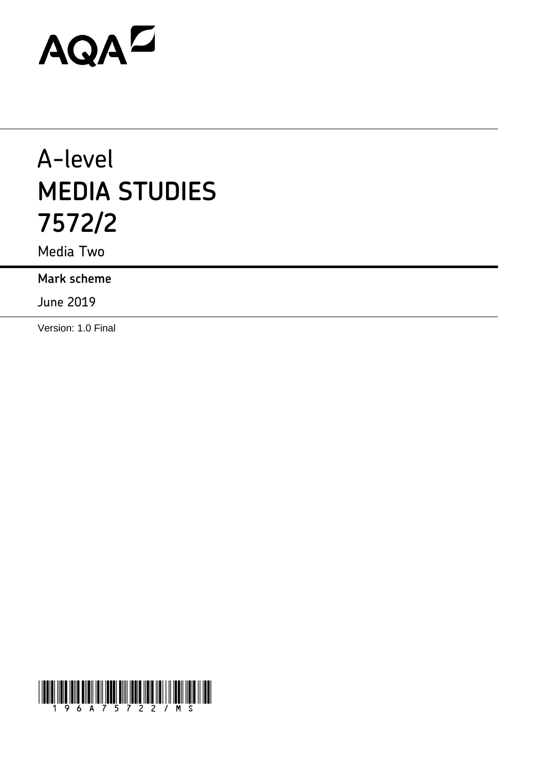# AQAZ

## A-level **MEDIA STUDIES 7572/2**

Media Two

**Mark scheme**

June 2019

Version: 1.0 Final

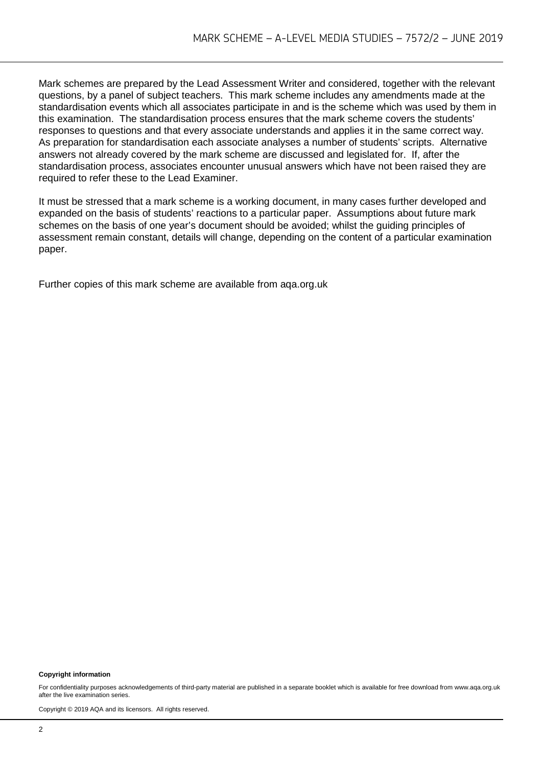Mark schemes are prepared by the Lead Assessment Writer and considered, together with the relevant questions, by a panel of subject teachers. This mark scheme includes any amendments made at the standardisation events which all associates participate in and is the scheme which was used by them in this examination. The standardisation process ensures that the mark scheme covers the students' responses to questions and that every associate understands and applies it in the same correct way. As preparation for standardisation each associate analyses a number of students' scripts. Alternative answers not already covered by the mark scheme are discussed and legislated for. If, after the standardisation process, associates encounter unusual answers which have not been raised they are required to refer these to the Lead Examiner.

It must be stressed that a mark scheme is a working document, in many cases further developed and expanded on the basis of students' reactions to a particular paper. Assumptions about future mark schemes on the basis of one year's document should be avoided; whilst the guiding principles of assessment remain constant, details will change, depending on the content of a particular examination paper.

Further copies of this mark scheme are available from aqa.org.uk

#### **Copyright information**

For confidentiality purposes acknowledgements of third-party material are published in a separate booklet which is available for free download from www.aga.org.uk after the live examination series.

Copyright © 2019 AQA and its licensors. All rights reserved.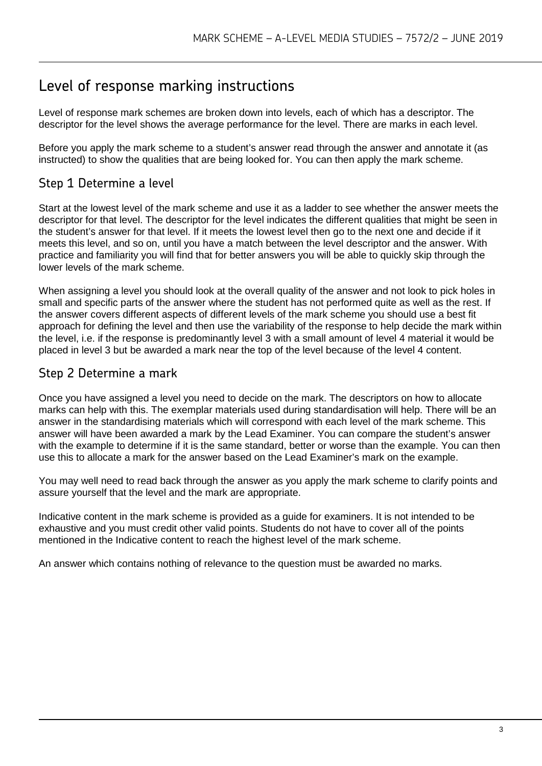### Level of response marking instructions

Level of response mark schemes are broken down into levels, each of which has a descriptor. The descriptor for the level shows the average performance for the level. There are marks in each level.

Before you apply the mark scheme to a student's answer read through the answer and annotate it (as instructed) to show the qualities that are being looked for. You can then apply the mark scheme.

#### Step 1 Determine a level

Start at the lowest level of the mark scheme and use it as a ladder to see whether the answer meets the descriptor for that level. The descriptor for the level indicates the different qualities that might be seen in the student's answer for that level. If it meets the lowest level then go to the next one and decide if it meets this level, and so on, until you have a match between the level descriptor and the answer. With practice and familiarity you will find that for better answers you will be able to quickly skip through the lower levels of the mark scheme.

When assigning a level you should look at the overall quality of the answer and not look to pick holes in small and specific parts of the answer where the student has not performed quite as well as the rest. If the answer covers different aspects of different levels of the mark scheme you should use a best fit approach for defining the level and then use the variability of the response to help decide the mark within the level, i.e. if the response is predominantly level 3 with a small amount of level 4 material it would be placed in level 3 but be awarded a mark near the top of the level because of the level 4 content.

#### Step 2 Determine a mark

Once you have assigned a level you need to decide on the mark. The descriptors on how to allocate marks can help with this. The exemplar materials used during standardisation will help. There will be an answer in the standardising materials which will correspond with each level of the mark scheme. This answer will have been awarded a mark by the Lead Examiner. You can compare the student's answer with the example to determine if it is the same standard, better or worse than the example. You can then use this to allocate a mark for the answer based on the Lead Examiner's mark on the example.

You may well need to read back through the answer as you apply the mark scheme to clarify points and assure yourself that the level and the mark are appropriate.

Indicative content in the mark scheme is provided as a guide for examiners. It is not intended to be exhaustive and you must credit other valid points. Students do not have to cover all of the points mentioned in the Indicative content to reach the highest level of the mark scheme.

An answer which contains nothing of relevance to the question must be awarded no marks.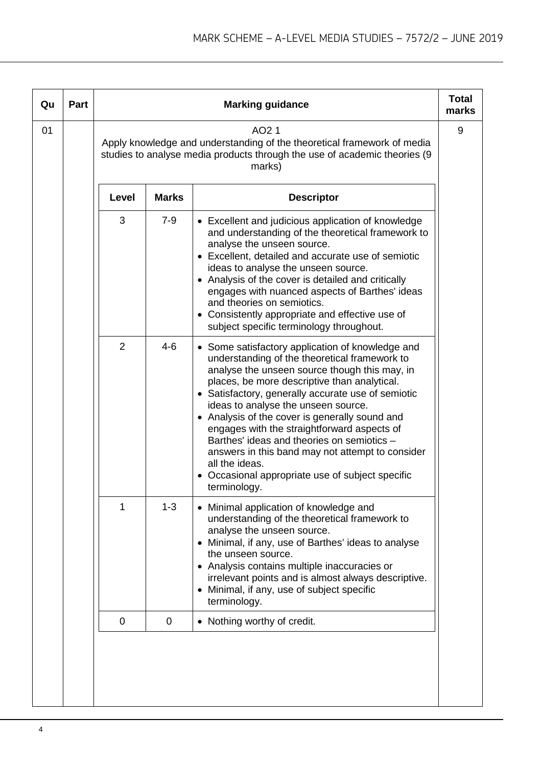| Qu | Part |                |              | <b>Marking guidance</b>                                                                                                                                                                                                                                                                                                                                                                                                                                                                                                                                                                | <b>Total</b><br>marks |
|----|------|----------------|--------------|----------------------------------------------------------------------------------------------------------------------------------------------------------------------------------------------------------------------------------------------------------------------------------------------------------------------------------------------------------------------------------------------------------------------------------------------------------------------------------------------------------------------------------------------------------------------------------------|-----------------------|
| 01 |      |                |              | AO <sub>2</sub> 1<br>Apply knowledge and understanding of the theoretical framework of media<br>studies to analyse media products through the use of academic theories (9<br>marks)                                                                                                                                                                                                                                                                                                                                                                                                    | 9                     |
|    |      | Level          | <b>Marks</b> | <b>Descriptor</b>                                                                                                                                                                                                                                                                                                                                                                                                                                                                                                                                                                      |                       |
|    |      | 3              | $7-9$        | • Excellent and judicious application of knowledge<br>and understanding of the theoretical framework to<br>analyse the unseen source.<br>• Excellent, detailed and accurate use of semiotic<br>ideas to analyse the unseen source.<br>• Analysis of the cover is detailed and critically<br>engages with nuanced aspects of Barthes' ideas<br>and theories on semiotics.<br>• Consistently appropriate and effective use of<br>subject specific terminology throughout.                                                                                                                |                       |
|    |      | $\overline{2}$ | $4 - 6$      | • Some satisfactory application of knowledge and<br>understanding of the theoretical framework to<br>analyse the unseen source though this may, in<br>places, be more descriptive than analytical.<br>• Satisfactory, generally accurate use of semiotic<br>ideas to analyse the unseen source.<br>• Analysis of the cover is generally sound and<br>engages with the straightforward aspects of<br>Barthes' ideas and theories on semiotics -<br>answers in this band may not attempt to consider<br>all the ideas.<br>Occasional appropriate use of subject specific<br>terminology. |                       |
|    |      | 1              | $1 - 3$      | • Minimal application of knowledge and<br>understanding of the theoretical framework to<br>analyse the unseen source.<br>• Minimal, if any, use of Barthes' ideas to analyse<br>the unseen source.<br>• Analysis contains multiple inaccuracies or<br>irrelevant points and is almost always descriptive.<br>Minimal, if any, use of subject specific<br>terminology.                                                                                                                                                                                                                  |                       |
|    |      | $\mathbf 0$    | $\mathbf 0$  | • Nothing worthy of credit.                                                                                                                                                                                                                                                                                                                                                                                                                                                                                                                                                            |                       |
|    |      |                |              |                                                                                                                                                                                                                                                                                                                                                                                                                                                                                                                                                                                        |                       |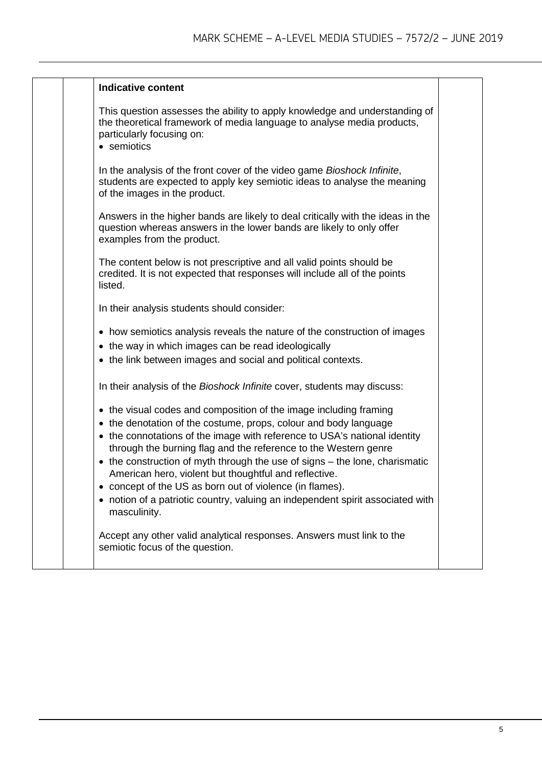|  | <b>Indicative content</b>                                                                                                                                                                                                                                                                                                                                                                                                                                                                                                                                                                 |  |
|--|-------------------------------------------------------------------------------------------------------------------------------------------------------------------------------------------------------------------------------------------------------------------------------------------------------------------------------------------------------------------------------------------------------------------------------------------------------------------------------------------------------------------------------------------------------------------------------------------|--|
|  | This question assesses the ability to apply knowledge and understanding of<br>the theoretical framework of media language to analyse media products,<br>particularly focusing on:<br>• semiotics                                                                                                                                                                                                                                                                                                                                                                                          |  |
|  | In the analysis of the front cover of the video game Bioshock Infinite,<br>students are expected to apply key semiotic ideas to analyse the meaning<br>of the images in the product.                                                                                                                                                                                                                                                                                                                                                                                                      |  |
|  | Answers in the higher bands are likely to deal critically with the ideas in the<br>question whereas answers in the lower bands are likely to only offer<br>examples from the product.                                                                                                                                                                                                                                                                                                                                                                                                     |  |
|  | The content below is not prescriptive and all valid points should be<br>credited. It is not expected that responses will include all of the points<br>listed.                                                                                                                                                                                                                                                                                                                                                                                                                             |  |
|  | In their analysis students should consider:                                                                                                                                                                                                                                                                                                                                                                                                                                                                                                                                               |  |
|  | • how semiotics analysis reveals the nature of the construction of images<br>• the way in which images can be read ideologically<br>• the link between images and social and political contexts.                                                                                                                                                                                                                                                                                                                                                                                          |  |
|  | In their analysis of the Bioshock Infinite cover, students may discuss:                                                                                                                                                                                                                                                                                                                                                                                                                                                                                                                   |  |
|  | • the visual codes and composition of the image including framing<br>• the denotation of the costume, props, colour and body language<br>• the connotations of the image with reference to USA's national identity<br>through the burning flag and the reference to the Western genre<br>• the construction of myth through the use of signs – the lone, charismatic<br>American hero, violent but thoughtful and reflective.<br>concept of the US as born out of violence (in flames).<br>• notion of a patriotic country, valuing an independent spirit associated with<br>masculinity. |  |
|  | Accept any other valid analytical responses. Answers must link to the<br>semiotic focus of the question.                                                                                                                                                                                                                                                                                                                                                                                                                                                                                  |  |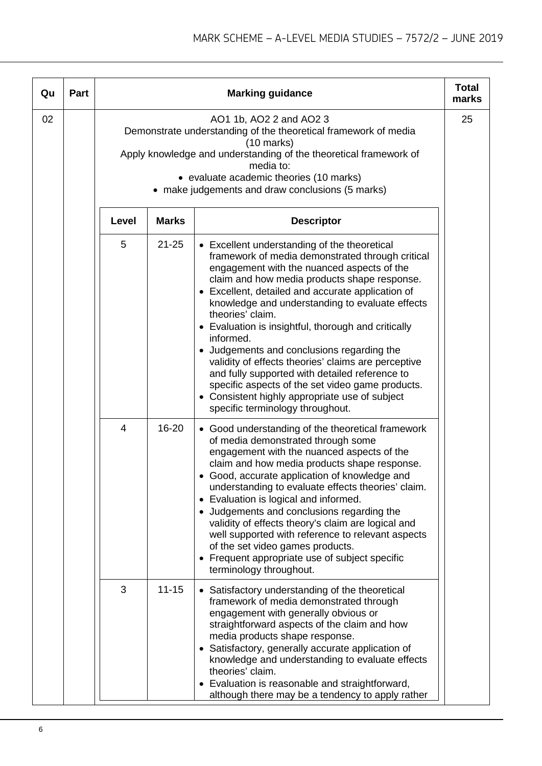| Qu | Part |       |              | <b>Marking guidance</b>                                                                                                                                                                                                                                                                                                                                                                                                                                                                                                                                                                                                                                                                         | <b>Total</b><br>marks |
|----|------|-------|--------------|-------------------------------------------------------------------------------------------------------------------------------------------------------------------------------------------------------------------------------------------------------------------------------------------------------------------------------------------------------------------------------------------------------------------------------------------------------------------------------------------------------------------------------------------------------------------------------------------------------------------------------------------------------------------------------------------------|-----------------------|
| 02 |      |       |              | AO1 1b, AO2 2 and AO2 3<br>Demonstrate understanding of the theoretical framework of media<br>$(10 \text{ marks})$<br>Apply knowledge and understanding of the theoretical framework of<br>media to:<br>• evaluate academic theories (10 marks)<br>• make judgements and draw conclusions (5 marks)                                                                                                                                                                                                                                                                                                                                                                                             | 25                    |
|    |      | Level | <b>Marks</b> | <b>Descriptor</b>                                                                                                                                                                                                                                                                                                                                                                                                                                                                                                                                                                                                                                                                               |                       |
|    |      | 5     | $21 - 25$    | • Excellent understanding of the theoretical<br>framework of media demonstrated through critical<br>engagement with the nuanced aspects of the<br>claim and how media products shape response.<br>• Excellent, detailed and accurate application of<br>knowledge and understanding to evaluate effects<br>theories' claim.<br>• Evaluation is insightful, thorough and critically<br>informed.<br>• Judgements and conclusions regarding the<br>validity of effects theories' claims are perceptive<br>and fully supported with detailed reference to<br>specific aspects of the set video game products.<br>• Consistent highly appropriate use of subject<br>specific terminology throughout. |                       |
|    |      | 4     | 16-20        | • Good understanding of the theoretical framework<br>of media demonstrated through some<br>engagement with the nuanced aspects of the<br>claim and how media products shape response.<br>• Good, accurate application of knowledge and<br>understanding to evaluate effects theories' claim.<br>• Evaluation is logical and informed.<br>• Judgements and conclusions regarding the<br>validity of effects theory's claim are logical and<br>well supported with reference to relevant aspects<br>of the set video games products.<br>• Frequent appropriate use of subject specific<br>terminology throughout.                                                                                 |                       |
|    |      | 3     | $11 - 15$    | • Satisfactory understanding of the theoretical<br>framework of media demonstrated through<br>engagement with generally obvious or<br>straightforward aspects of the claim and how<br>media products shape response.<br>• Satisfactory, generally accurate application of<br>knowledge and understanding to evaluate effects<br>theories' claim.<br>Evaluation is reasonable and straightforward,<br>although there may be a tendency to apply rather                                                                                                                                                                                                                                           |                       |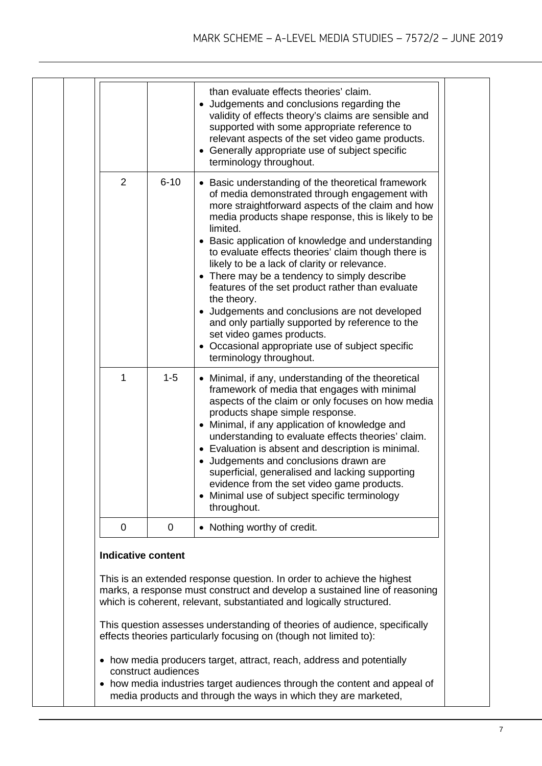|  |                                                                                                                                                                                                                              |                     | than evaluate effects theories' claim.<br>• Judgements and conclusions regarding the<br>validity of effects theory's claims are sensible and<br>supported with some appropriate reference to<br>relevant aspects of the set video game products.<br>• Generally appropriate use of subject specific<br>terminology throughout.                                                                                                                                                                                                                                                                                                                                                                                                |  |  |  |
|--|------------------------------------------------------------------------------------------------------------------------------------------------------------------------------------------------------------------------------|---------------------|-------------------------------------------------------------------------------------------------------------------------------------------------------------------------------------------------------------------------------------------------------------------------------------------------------------------------------------------------------------------------------------------------------------------------------------------------------------------------------------------------------------------------------------------------------------------------------------------------------------------------------------------------------------------------------------------------------------------------------|--|--|--|
|  | 2                                                                                                                                                                                                                            | $6 - 10$            | • Basic understanding of the theoretical framework<br>of media demonstrated through engagement with<br>more straightforward aspects of the claim and how<br>media products shape response, this is likely to be<br>limited.<br>• Basic application of knowledge and understanding<br>to evaluate effects theories' claim though there is<br>likely to be a lack of clarity or relevance.<br>• There may be a tendency to simply describe<br>features of the set product rather than evaluate<br>the theory.<br>• Judgements and conclusions are not developed<br>and only partially supported by reference to the<br>set video games products.<br>• Occasional appropriate use of subject specific<br>terminology throughout. |  |  |  |
|  | 1                                                                                                                                                                                                                            | $1 - 5$             | • Minimal, if any, understanding of the theoretical<br>framework of media that engages with minimal<br>aspects of the claim or only focuses on how media<br>products shape simple response.<br>• Minimal, if any application of knowledge and<br>understanding to evaluate effects theories' claim.<br>• Evaluation is absent and description is minimal.<br>• Judgements and conclusions drawn are<br>superficial, generalised and lacking supporting<br>evidence from the set video game products.<br>• Minimal use of subject specific terminology<br>throughout.                                                                                                                                                          |  |  |  |
|  | $\mathbf 0$                                                                                                                                                                                                                  | 0                   | • Nothing worthy of credit.                                                                                                                                                                                                                                                                                                                                                                                                                                                                                                                                                                                                                                                                                                   |  |  |  |
|  | <b>Indicative content</b>                                                                                                                                                                                                    |                     |                                                                                                                                                                                                                                                                                                                                                                                                                                                                                                                                                                                                                                                                                                                               |  |  |  |
|  | This is an extended response question. In order to achieve the highest<br>marks, a response must construct and develop a sustained line of reasoning<br>which is coherent, relevant, substantiated and logically structured. |                     |                                                                                                                                                                                                                                                                                                                                                                                                                                                                                                                                                                                                                                                                                                                               |  |  |  |
|  |                                                                                                                                                                                                                              |                     | This question assesses understanding of theories of audience, specifically<br>effects theories particularly focusing on (though not limited to):                                                                                                                                                                                                                                                                                                                                                                                                                                                                                                                                                                              |  |  |  |
|  |                                                                                                                                                                                                                              | construct audiences | • how media producers target, attract, reach, address and potentially<br>• how media industries target audiences through the content and appeal of<br>media products and through the ways in which they are marketed,                                                                                                                                                                                                                                                                                                                                                                                                                                                                                                         |  |  |  |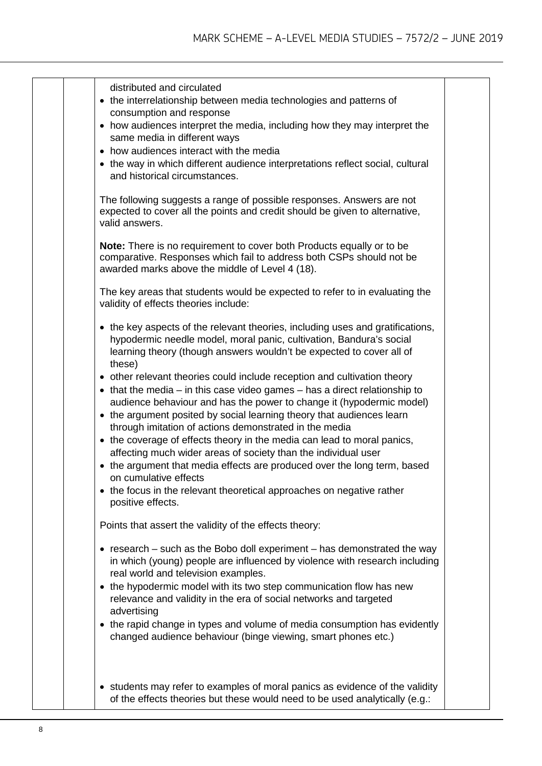| distributed and circulated<br>• the interrelationship between media technologies and patterns of<br>consumption and response<br>• how audiences interpret the media, including how they may interpret the<br>same media in different ways<br>• how audiences interact with the media<br>• the way in which different audience interpretations reflect social, cultural<br>and historical circumstances.<br>The following suggests a range of possible responses. Answers are not<br>expected to cover all the points and credit should be given to alternative, |  |
|-----------------------------------------------------------------------------------------------------------------------------------------------------------------------------------------------------------------------------------------------------------------------------------------------------------------------------------------------------------------------------------------------------------------------------------------------------------------------------------------------------------------------------------------------------------------|--|
| valid answers.<br>Note: There is no requirement to cover both Products equally or to be<br>comparative. Responses which fail to address both CSPs should not be<br>awarded marks above the middle of Level 4 (18).                                                                                                                                                                                                                                                                                                                                              |  |
| The key areas that students would be expected to refer to in evaluating the<br>validity of effects theories include:                                                                                                                                                                                                                                                                                                                                                                                                                                            |  |
| • the key aspects of the relevant theories, including uses and gratifications,<br>hypodermic needle model, moral panic, cultivation, Bandura's social<br>learning theory (though answers wouldn't be expected to cover all of<br>these)                                                                                                                                                                                                                                                                                                                         |  |
| • other relevant theories could include reception and cultivation theory<br>$\bullet$ that the media – in this case video games – has a direct relationship to<br>audience behaviour and has the power to change it (hypodermic model)<br>• the argument posited by social learning theory that audiences learn<br>through imitation of actions demonstrated in the media<br>• the coverage of effects theory in the media can lead to moral panics,                                                                                                            |  |
| affecting much wider areas of society than the individual user<br>• the argument that media effects are produced over the long term, based<br>on cumulative effects<br>• the focus in the relevant theoretical approaches on negative rather<br>positive effects.                                                                                                                                                                                                                                                                                               |  |
| Points that assert the validity of the effects theory:                                                                                                                                                                                                                                                                                                                                                                                                                                                                                                          |  |
| $\bullet$ research – such as the Bobo doll experiment – has demonstrated the way<br>in which (young) people are influenced by violence with research including<br>real world and television examples.<br>• the hypodermic model with its two step communication flow has new<br>relevance and validity in the era of social networks and targeted<br>advertising                                                                                                                                                                                                |  |
| • the rapid change in types and volume of media consumption has evidently<br>changed audience behaviour (binge viewing, smart phones etc.)                                                                                                                                                                                                                                                                                                                                                                                                                      |  |
| • students may refer to examples of moral panics as evidence of the validity<br>of the effects theories but these would need to be used analytically (e.g.:                                                                                                                                                                                                                                                                                                                                                                                                     |  |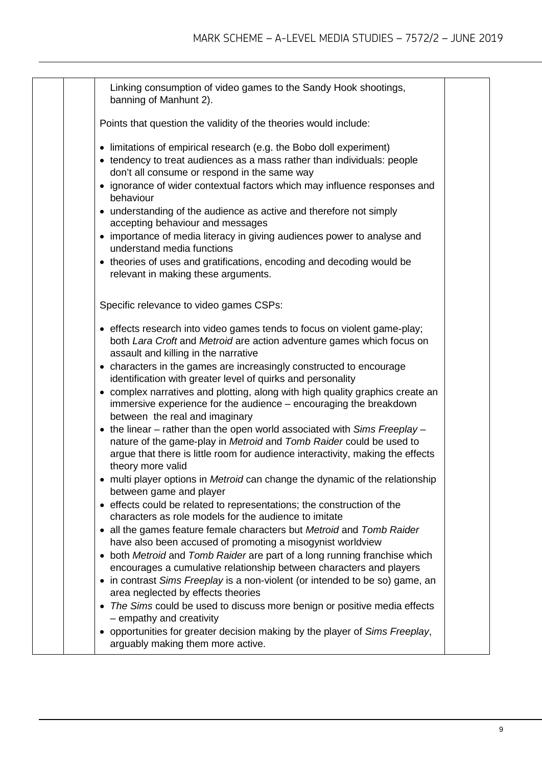| Linking consumption of video games to the Sandy Hook shootings,<br>banning of Manhunt 2).<br>Points that question the validity of the theories would include:<br>• limitations of empirical research (e.g. the Bobo doll experiment)<br>• tendency to treat audiences as a mass rather than individuals: people<br>don't all consume or respond in the same way<br>• ignorance of wider contextual factors which may influence responses and<br>behaviour<br>• understanding of the audience as active and therefore not simply<br>accepting behaviour and messages<br>• importance of media literacy in giving audiences power to analyse and<br>understand media functions<br>• theories of uses and gratifications, encoding and decoding would be<br>relevant in making these arguments.<br>Specific relevance to video games CSPs:<br>• effects research into video games tends to focus on violent game-play;<br>both Lara Croft and Metroid are action adventure games which focus on<br>assault and killing in the narrative<br>• characters in the games are increasingly constructed to encourage<br>identification with greater level of quirks and personality<br>• complex narratives and plotting, along with high quality graphics create an<br>immersive experience for the audience - encouraging the breakdown<br>between the real and imaginary<br>$\bullet$ the linear – rather than the open world associated with Sims Freeplay –<br>nature of the game-play in Metroid and Tomb Raider could be used to<br>argue that there is little room for audience interactivity, making the effects<br>theory more valid<br>multi player options in Metroid can change the dynamic of the relationship<br>between game and player<br>• effects could be related to representations; the construction of the<br>characters as role models for the audience to imitate<br>• all the games feature female characters but Metroid and Tomb Raider<br>have also been accused of promoting a misogynist worldview |  |  |
|--------------------------------------------------------------------------------------------------------------------------------------------------------------------------------------------------------------------------------------------------------------------------------------------------------------------------------------------------------------------------------------------------------------------------------------------------------------------------------------------------------------------------------------------------------------------------------------------------------------------------------------------------------------------------------------------------------------------------------------------------------------------------------------------------------------------------------------------------------------------------------------------------------------------------------------------------------------------------------------------------------------------------------------------------------------------------------------------------------------------------------------------------------------------------------------------------------------------------------------------------------------------------------------------------------------------------------------------------------------------------------------------------------------------------------------------------------------------------------------------------------------------------------------------------------------------------------------------------------------------------------------------------------------------------------------------------------------------------------------------------------------------------------------------------------------------------------------------------------------------------------------------------------------------------------------------------------------------------------------------------------------------------|--|--|
|                                                                                                                                                                                                                                                                                                                                                                                                                                                                                                                                                                                                                                                                                                                                                                                                                                                                                                                                                                                                                                                                                                                                                                                                                                                                                                                                                                                                                                                                                                                                                                                                                                                                                                                                                                                                                                                                                                                                                                                                                          |  |  |
|                                                                                                                                                                                                                                                                                                                                                                                                                                                                                                                                                                                                                                                                                                                                                                                                                                                                                                                                                                                                                                                                                                                                                                                                                                                                                                                                                                                                                                                                                                                                                                                                                                                                                                                                                                                                                                                                                                                                                                                                                          |  |  |
|                                                                                                                                                                                                                                                                                                                                                                                                                                                                                                                                                                                                                                                                                                                                                                                                                                                                                                                                                                                                                                                                                                                                                                                                                                                                                                                                                                                                                                                                                                                                                                                                                                                                                                                                                                                                                                                                                                                                                                                                                          |  |  |
|                                                                                                                                                                                                                                                                                                                                                                                                                                                                                                                                                                                                                                                                                                                                                                                                                                                                                                                                                                                                                                                                                                                                                                                                                                                                                                                                                                                                                                                                                                                                                                                                                                                                                                                                                                                                                                                                                                                                                                                                                          |  |  |
|                                                                                                                                                                                                                                                                                                                                                                                                                                                                                                                                                                                                                                                                                                                                                                                                                                                                                                                                                                                                                                                                                                                                                                                                                                                                                                                                                                                                                                                                                                                                                                                                                                                                                                                                                                                                                                                                                                                                                                                                                          |  |  |
|                                                                                                                                                                                                                                                                                                                                                                                                                                                                                                                                                                                                                                                                                                                                                                                                                                                                                                                                                                                                                                                                                                                                                                                                                                                                                                                                                                                                                                                                                                                                                                                                                                                                                                                                                                                                                                                                                                                                                                                                                          |  |  |
|                                                                                                                                                                                                                                                                                                                                                                                                                                                                                                                                                                                                                                                                                                                                                                                                                                                                                                                                                                                                                                                                                                                                                                                                                                                                                                                                                                                                                                                                                                                                                                                                                                                                                                                                                                                                                                                                                                                                                                                                                          |  |  |
|                                                                                                                                                                                                                                                                                                                                                                                                                                                                                                                                                                                                                                                                                                                                                                                                                                                                                                                                                                                                                                                                                                                                                                                                                                                                                                                                                                                                                                                                                                                                                                                                                                                                                                                                                                                                                                                                                                                                                                                                                          |  |  |
|                                                                                                                                                                                                                                                                                                                                                                                                                                                                                                                                                                                                                                                                                                                                                                                                                                                                                                                                                                                                                                                                                                                                                                                                                                                                                                                                                                                                                                                                                                                                                                                                                                                                                                                                                                                                                                                                                                                                                                                                                          |  |  |
|                                                                                                                                                                                                                                                                                                                                                                                                                                                                                                                                                                                                                                                                                                                                                                                                                                                                                                                                                                                                                                                                                                                                                                                                                                                                                                                                                                                                                                                                                                                                                                                                                                                                                                                                                                                                                                                                                                                                                                                                                          |  |  |
|                                                                                                                                                                                                                                                                                                                                                                                                                                                                                                                                                                                                                                                                                                                                                                                                                                                                                                                                                                                                                                                                                                                                                                                                                                                                                                                                                                                                                                                                                                                                                                                                                                                                                                                                                                                                                                                                                                                                                                                                                          |  |  |
|                                                                                                                                                                                                                                                                                                                                                                                                                                                                                                                                                                                                                                                                                                                                                                                                                                                                                                                                                                                                                                                                                                                                                                                                                                                                                                                                                                                                                                                                                                                                                                                                                                                                                                                                                                                                                                                                                                                                                                                                                          |  |  |
|                                                                                                                                                                                                                                                                                                                                                                                                                                                                                                                                                                                                                                                                                                                                                                                                                                                                                                                                                                                                                                                                                                                                                                                                                                                                                                                                                                                                                                                                                                                                                                                                                                                                                                                                                                                                                                                                                                                                                                                                                          |  |  |
|                                                                                                                                                                                                                                                                                                                                                                                                                                                                                                                                                                                                                                                                                                                                                                                                                                                                                                                                                                                                                                                                                                                                                                                                                                                                                                                                                                                                                                                                                                                                                                                                                                                                                                                                                                                                                                                                                                                                                                                                                          |  |  |
|                                                                                                                                                                                                                                                                                                                                                                                                                                                                                                                                                                                                                                                                                                                                                                                                                                                                                                                                                                                                                                                                                                                                                                                                                                                                                                                                                                                                                                                                                                                                                                                                                                                                                                                                                                                                                                                                                                                                                                                                                          |  |  |
| both Metroid and Tomb Raider are part of a long running franchise which<br>$\bullet$<br>encourages a cumulative relationship between characters and players                                                                                                                                                                                                                                                                                                                                                                                                                                                                                                                                                                                                                                                                                                                                                                                                                                                                                                                                                                                                                                                                                                                                                                                                                                                                                                                                                                                                                                                                                                                                                                                                                                                                                                                                                                                                                                                              |  |  |
| • in contrast Sims Freeplay is a non-violent (or intended to be so) game, an<br>area neglected by effects theories                                                                                                                                                                                                                                                                                                                                                                                                                                                                                                                                                                                                                                                                                                                                                                                                                                                                                                                                                                                                                                                                                                                                                                                                                                                                                                                                                                                                                                                                                                                                                                                                                                                                                                                                                                                                                                                                                                       |  |  |
| The Sims could be used to discuss more benign or positive media effects<br>$\bullet$<br>- empathy and creativity                                                                                                                                                                                                                                                                                                                                                                                                                                                                                                                                                                                                                                                                                                                                                                                                                                                                                                                                                                                                                                                                                                                                                                                                                                                                                                                                                                                                                                                                                                                                                                                                                                                                                                                                                                                                                                                                                                         |  |  |
| opportunities for greater decision making by the player of Sims Freeplay,<br>$\bullet$<br>arguably making them more active.                                                                                                                                                                                                                                                                                                                                                                                                                                                                                                                                                                                                                                                                                                                                                                                                                                                                                                                                                                                                                                                                                                                                                                                                                                                                                                                                                                                                                                                                                                                                                                                                                                                                                                                                                                                                                                                                                              |  |  |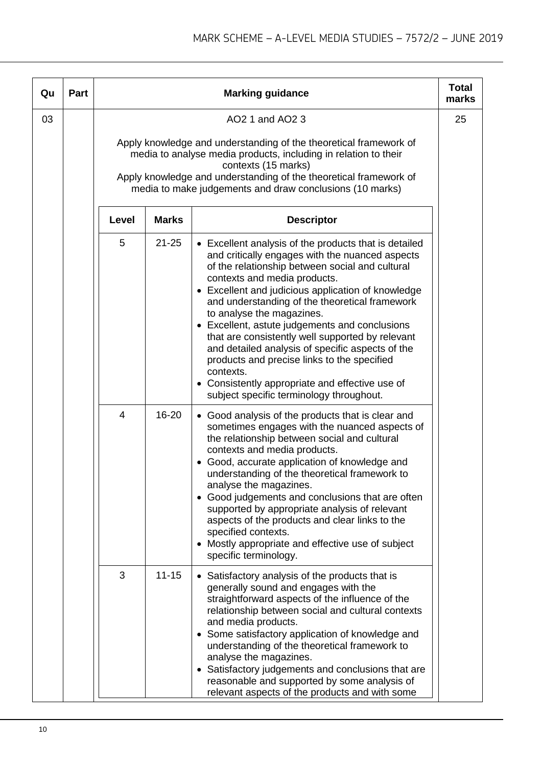| Qu | Part |                |              | <b>Marking guidance</b>                                                                                                                                                                                                                                                                                                                                                                                                                                                                                                                                                                                                                               | <b>Total</b><br>marks |
|----|------|----------------|--------------|-------------------------------------------------------------------------------------------------------------------------------------------------------------------------------------------------------------------------------------------------------------------------------------------------------------------------------------------------------------------------------------------------------------------------------------------------------------------------------------------------------------------------------------------------------------------------------------------------------------------------------------------------------|-----------------------|
| 03 |      |                |              | AO2 1 and AO2 3<br>Apply knowledge and understanding of the theoretical framework of<br>media to analyse media products, including in relation to their<br>contexts (15 marks)                                                                                                                                                                                                                                                                                                                                                                                                                                                                        | 25                    |
|    |      |                |              | Apply knowledge and understanding of the theoretical framework of<br>media to make judgements and draw conclusions (10 marks)                                                                                                                                                                                                                                                                                                                                                                                                                                                                                                                         |                       |
|    |      | Level          | <b>Marks</b> | <b>Descriptor</b>                                                                                                                                                                                                                                                                                                                                                                                                                                                                                                                                                                                                                                     |                       |
|    |      | 5              | $21 - 25$    | • Excellent analysis of the products that is detailed<br>and critically engages with the nuanced aspects<br>of the relationship between social and cultural<br>contexts and media products.<br>• Excellent and judicious application of knowledge<br>and understanding of the theoretical framework<br>to analyse the magazines.<br>• Excellent, astute judgements and conclusions<br>that are consistently well supported by relevant<br>and detailed analysis of specific aspects of the<br>products and precise links to the specified<br>contexts.<br>• Consistently appropriate and effective use of<br>subject specific terminology throughout. |                       |
|    |      | $\overline{4}$ | 16-20        | • Good analysis of the products that is clear and<br>sometimes engages with the nuanced aspects of<br>the relationship between social and cultural<br>contexts and media products.<br>• Good, accurate application of knowledge and<br>understanding of the theoretical framework to<br>analyse the magazines.<br>• Good judgements and conclusions that are often<br>supported by appropriate analysis of relevant<br>aspects of the products and clear links to the<br>specified contexts.<br>• Mostly appropriate and effective use of subject<br>specific terminology.                                                                            |                       |
|    |      | 3              | $11 - 15$    | • Satisfactory analysis of the products that is<br>generally sound and engages with the<br>straightforward aspects of the influence of the<br>relationship between social and cultural contexts<br>and media products.<br>• Some satisfactory application of knowledge and<br>understanding of the theoretical framework to<br>analyse the magazines.<br>• Satisfactory judgements and conclusions that are<br>reasonable and supported by some analysis of<br>relevant aspects of the products and with some                                                                                                                                         |                       |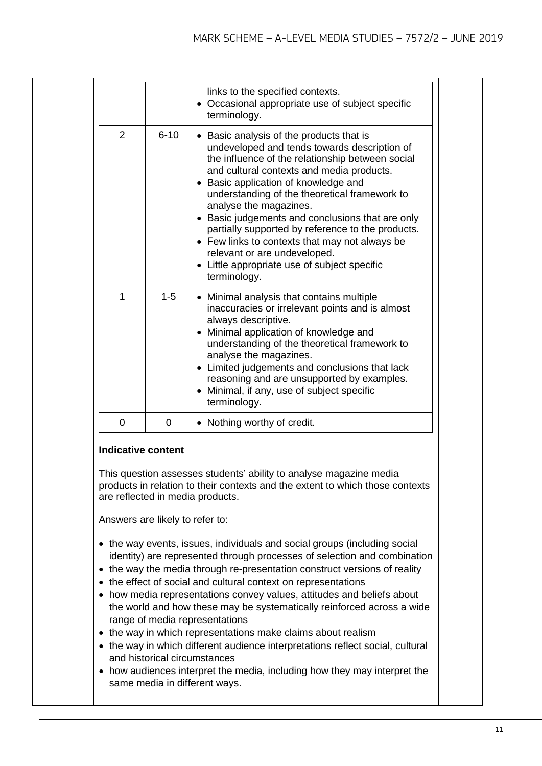|                           |                                 | links to the specified contexts.<br>• Occasional appropriate use of subject specific                                                                                                                                                                                                                                                                                                                                                                                                                                                                                                                                                     |
|---------------------------|---------------------------------|------------------------------------------------------------------------------------------------------------------------------------------------------------------------------------------------------------------------------------------------------------------------------------------------------------------------------------------------------------------------------------------------------------------------------------------------------------------------------------------------------------------------------------------------------------------------------------------------------------------------------------------|
|                           |                                 | terminology.                                                                                                                                                                                                                                                                                                                                                                                                                                                                                                                                                                                                                             |
| $\overline{2}$            | $6 - 10$                        | • Basic analysis of the products that is<br>undeveloped and tends towards description of<br>the influence of the relationship between social<br>and cultural contexts and media products.<br>• Basic application of knowledge and<br>understanding of the theoretical framework to<br>analyse the magazines.<br>• Basic judgements and conclusions that are only<br>partially supported by reference to the products.<br>• Few links to contexts that may not always be<br>relevant or are undeveloped.<br>• Little appropriate use of subject specific<br>terminology.                                                                  |
| 1                         | $1 - 5$                         | • Minimal analysis that contains multiple<br>inaccuracies or irrelevant points and is almost<br>always descriptive.<br>• Minimal application of knowledge and<br>understanding of the theoretical framework to<br>analyse the magazines.<br>• Limited judgements and conclusions that lack<br>reasoning and are unsupported by examples.<br>• Minimal, if any, use of subject specific<br>terminology.                                                                                                                                                                                                                                   |
| 0                         | 0                               | • Nothing worthy of credit.                                                                                                                                                                                                                                                                                                                                                                                                                                                                                                                                                                                                              |
| <b>Indicative content</b> |                                 | This question assesses students' ability to analyse magazine media<br>products in relation to their contexts and the extent to which those contexts<br>are reflected in media products.                                                                                                                                                                                                                                                                                                                                                                                                                                                  |
|                           | Answers are likely to refer to: |                                                                                                                                                                                                                                                                                                                                                                                                                                                                                                                                                                                                                                          |
| $\bullet$<br>٠            | and historical circumstances    | • the way events, issues, individuals and social groups (including social<br>identity) are represented through processes of selection and combination<br>• the way the media through re-presentation construct versions of reality<br>the effect of social and cultural context on representations<br>how media representations convey values, attitudes and beliefs about<br>the world and how these may be systematically reinforced across a wide<br>range of media representations<br>• the way in which representations make claims about realism<br>• the way in which different audience interpretations reflect social, cultural |
| ٠                         | same media in different ways.   | how audiences interpret the media, including how they may interpret the                                                                                                                                                                                                                                                                                                                                                                                                                                                                                                                                                                  |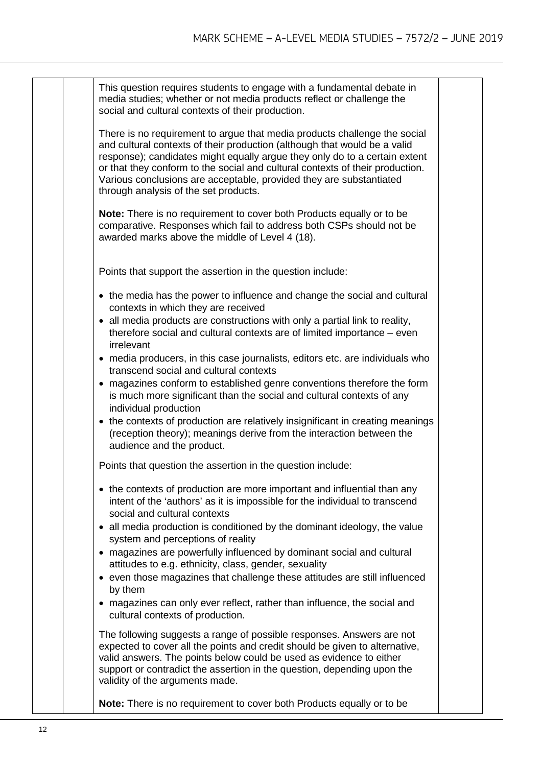|  | This question requires students to engage with a fundamental debate in<br>media studies; whether or not media products reflect or challenge the<br>social and cultural contexts of their production.                                                                                                                                                                                                                                  |  |
|--|---------------------------------------------------------------------------------------------------------------------------------------------------------------------------------------------------------------------------------------------------------------------------------------------------------------------------------------------------------------------------------------------------------------------------------------|--|
|  | There is no requirement to argue that media products challenge the social<br>and cultural contexts of their production (although that would be a valid<br>response); candidates might equally argue they only do to a certain extent<br>or that they conform to the social and cultural contexts of their production.<br>Various conclusions are acceptable, provided they are substantiated<br>through analysis of the set products. |  |
|  | Note: There is no requirement to cover both Products equally or to be<br>comparative. Responses which fail to address both CSPs should not be<br>awarded marks above the middle of Level 4 (18).                                                                                                                                                                                                                                      |  |
|  | Points that support the assertion in the question include:                                                                                                                                                                                                                                                                                                                                                                            |  |
|  | • the media has the power to influence and change the social and cultural<br>contexts in which they are received                                                                                                                                                                                                                                                                                                                      |  |
|  | • all media products are constructions with only a partial link to reality,<br>therefore social and cultural contexts are of limited importance – even<br>irrelevant                                                                                                                                                                                                                                                                  |  |
|  | • media producers, in this case journalists, editors etc. are individuals who<br>transcend social and cultural contexts                                                                                                                                                                                                                                                                                                               |  |
|  | • magazines conform to established genre conventions therefore the form<br>is much more significant than the social and cultural contexts of any<br>individual production                                                                                                                                                                                                                                                             |  |
|  | • the contexts of production are relatively insignificant in creating meanings<br>(reception theory); meanings derive from the interaction between the<br>audience and the product.                                                                                                                                                                                                                                                   |  |
|  | Points that question the assertion in the question include:                                                                                                                                                                                                                                                                                                                                                                           |  |
|  | • the contexts of production are more important and influential than any<br>intent of the 'authors' as it is impossible for the individual to transcend<br>social and cultural contexts                                                                                                                                                                                                                                               |  |
|  | • all media production is conditioned by the dominant ideology, the value<br>system and perceptions of reality                                                                                                                                                                                                                                                                                                                        |  |
|  | • magazines are powerfully influenced by dominant social and cultural<br>attitudes to e.g. ethnicity, class, gender, sexuality                                                                                                                                                                                                                                                                                                        |  |
|  | • even those magazines that challenge these attitudes are still influenced<br>by them                                                                                                                                                                                                                                                                                                                                                 |  |
|  | • magazines can only ever reflect, rather than influence, the social and<br>cultural contexts of production.                                                                                                                                                                                                                                                                                                                          |  |
|  | The following suggests a range of possible responses. Answers are not<br>expected to cover all the points and credit should be given to alternative,<br>valid answers. The points below could be used as evidence to either<br>support or contradict the assertion in the question, depending upon the<br>validity of the arguments made.                                                                                             |  |
|  | Note: There is no requirement to cover both Products equally or to be                                                                                                                                                                                                                                                                                                                                                                 |  |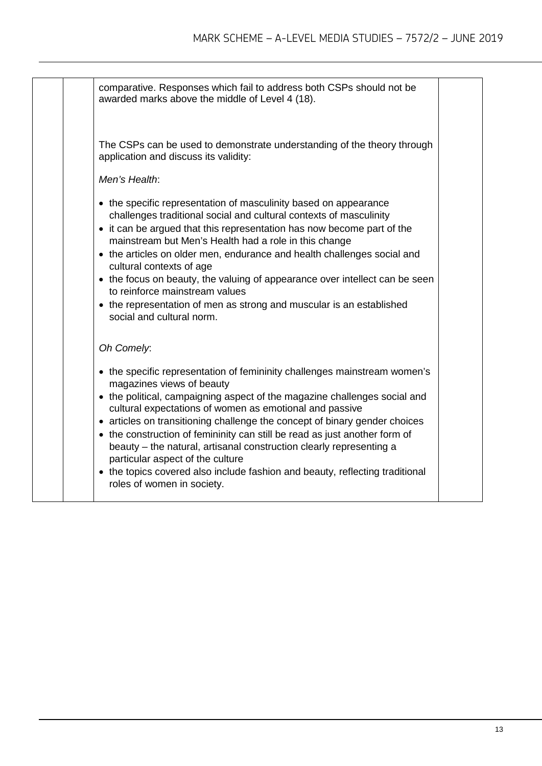| comparative. Responses which fail to address both CSPs should not be<br>awarded marks above the middle of Level 4 (18).<br>The CSPs can be used to demonstrate understanding of the theory through<br>application and discuss its validity:<br>Men's Health:<br>• the specific representation of masculinity based on appearance<br>challenges traditional social and cultural contexts of masculinity<br>• it can be argued that this representation has now become part of the<br>mainstream but Men's Health had a role in this change<br>• the articles on older men, endurance and health challenges social and<br>cultural contexts of age<br>• the focus on beauty, the valuing of appearance over intellect can be seen<br>to reinforce mainstream values<br>• the representation of men as strong and muscular is an established<br>social and cultural norm.<br>Oh Comely:<br>• the specific representation of femininity challenges mainstream women's<br>magazines views of beauty<br>• the political, campaigning aspect of the magazine challenges social and<br>cultural expectations of women as emotional and passive<br>• articles on transitioning challenge the concept of binary gender choices<br>• the construction of femininity can still be read as just another form of<br>beauty - the natural, artisanal construction clearly representing a<br>particular aspect of the culture<br>• the topics covered also include fashion and beauty, reflecting traditional<br>roles of women in society. |  |  |
|-----------------------------------------------------------------------------------------------------------------------------------------------------------------------------------------------------------------------------------------------------------------------------------------------------------------------------------------------------------------------------------------------------------------------------------------------------------------------------------------------------------------------------------------------------------------------------------------------------------------------------------------------------------------------------------------------------------------------------------------------------------------------------------------------------------------------------------------------------------------------------------------------------------------------------------------------------------------------------------------------------------------------------------------------------------------------------------------------------------------------------------------------------------------------------------------------------------------------------------------------------------------------------------------------------------------------------------------------------------------------------------------------------------------------------------------------------------------------------------------------------------------------------|--|--|
|                                                                                                                                                                                                                                                                                                                                                                                                                                                                                                                                                                                                                                                                                                                                                                                                                                                                                                                                                                                                                                                                                                                                                                                                                                                                                                                                                                                                                                                                                                                             |  |  |
|                                                                                                                                                                                                                                                                                                                                                                                                                                                                                                                                                                                                                                                                                                                                                                                                                                                                                                                                                                                                                                                                                                                                                                                                                                                                                                                                                                                                                                                                                                                             |  |  |
|                                                                                                                                                                                                                                                                                                                                                                                                                                                                                                                                                                                                                                                                                                                                                                                                                                                                                                                                                                                                                                                                                                                                                                                                                                                                                                                                                                                                                                                                                                                             |  |  |
|                                                                                                                                                                                                                                                                                                                                                                                                                                                                                                                                                                                                                                                                                                                                                                                                                                                                                                                                                                                                                                                                                                                                                                                                                                                                                                                                                                                                                                                                                                                             |  |  |
|                                                                                                                                                                                                                                                                                                                                                                                                                                                                                                                                                                                                                                                                                                                                                                                                                                                                                                                                                                                                                                                                                                                                                                                                                                                                                                                                                                                                                                                                                                                             |  |  |
|                                                                                                                                                                                                                                                                                                                                                                                                                                                                                                                                                                                                                                                                                                                                                                                                                                                                                                                                                                                                                                                                                                                                                                                                                                                                                                                                                                                                                                                                                                                             |  |  |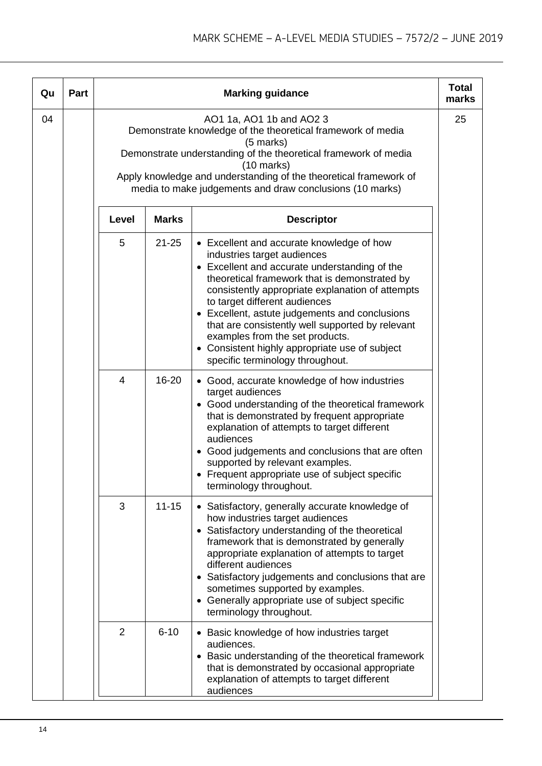| Qu | <b>Part</b> |                |              | <b>Marking guidance</b>                                                                                                                                                                                                                                                                                                                                                                                                                                                                        | <b>Total</b><br>marks |
|----|-------------|----------------|--------------|------------------------------------------------------------------------------------------------------------------------------------------------------------------------------------------------------------------------------------------------------------------------------------------------------------------------------------------------------------------------------------------------------------------------------------------------------------------------------------------------|-----------------------|
| 04 |             |                |              | AO1 1a, AO1 1b and AO2 3<br>Demonstrate knowledge of the theoretical framework of media<br>(5 marks)<br>Demonstrate understanding of the theoretical framework of media<br>$(10 \text{ marks})$<br>Apply knowledge and understanding of the theoretical framework of<br>media to make judgements and draw conclusions (10 marks)                                                                                                                                                               | 25                    |
|    |             | Level          | <b>Marks</b> | <b>Descriptor</b>                                                                                                                                                                                                                                                                                                                                                                                                                                                                              |                       |
|    |             | 5              | $21 - 25$    | • Excellent and accurate knowledge of how<br>industries target audiences<br>• Excellent and accurate understanding of the<br>theoretical framework that is demonstrated by<br>consistently appropriate explanation of attempts<br>to target different audiences<br>• Excellent, astute judgements and conclusions<br>that are consistently well supported by relevant<br>examples from the set products.<br>• Consistent highly appropriate use of subject<br>specific terminology throughout. |                       |
|    |             | $\overline{4}$ | 16-20        | • Good, accurate knowledge of how industries<br>target audiences<br>• Good understanding of the theoretical framework<br>that is demonstrated by frequent appropriate<br>explanation of attempts to target different<br>audiences<br>• Good judgements and conclusions that are often<br>supported by relevant examples.<br>• Frequent appropriate use of subject specific<br>terminology throughout.                                                                                          |                       |
|    |             | 3              | $11 - 15$    | • Satisfactory, generally accurate knowledge of<br>how industries target audiences<br>• Satisfactory understanding of the theoretical<br>framework that is demonstrated by generally<br>appropriate explanation of attempts to target<br>different audiences<br>• Satisfactory judgements and conclusions that are<br>sometimes supported by examples.<br>• Generally appropriate use of subject specific<br>terminology throughout.                                                           |                       |
|    |             | $\overline{2}$ | $6 - 10$     | • Basic knowledge of how industries target<br>audiences.<br>• Basic understanding of the theoretical framework<br>that is demonstrated by occasional appropriate<br>explanation of attempts to target different<br>audiences                                                                                                                                                                                                                                                                   |                       |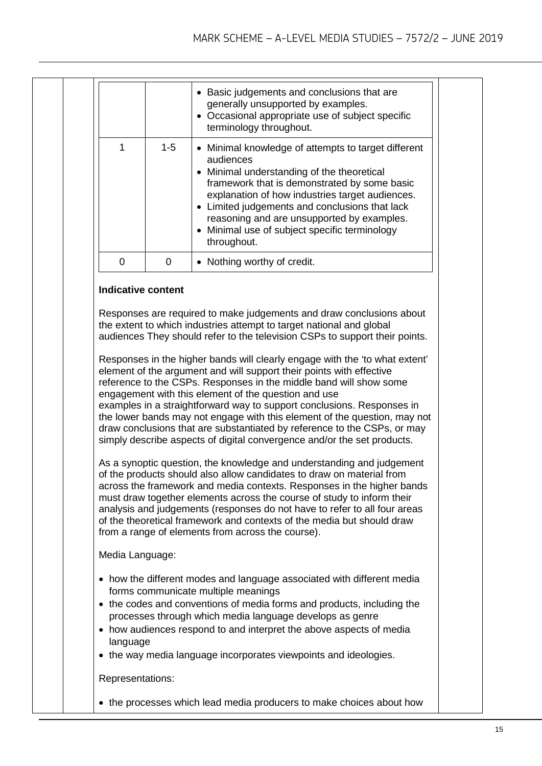|                  |         | • Basic judgements and conclusions that are<br>generally unsupported by examples.<br>• Occasional appropriate use of subject specific<br>terminology throughout.                                                                                                                                                                                                                                                                                                                                                                                                                                                                                                                                                                                                                                                                                                                                                                                                                                                                                                                                                                                                                                                                                                                                                                                 |
|------------------|---------|--------------------------------------------------------------------------------------------------------------------------------------------------------------------------------------------------------------------------------------------------------------------------------------------------------------------------------------------------------------------------------------------------------------------------------------------------------------------------------------------------------------------------------------------------------------------------------------------------------------------------------------------------------------------------------------------------------------------------------------------------------------------------------------------------------------------------------------------------------------------------------------------------------------------------------------------------------------------------------------------------------------------------------------------------------------------------------------------------------------------------------------------------------------------------------------------------------------------------------------------------------------------------------------------------------------------------------------------------|
| 1                | $1 - 5$ | • Minimal knowledge of attempts to target different<br>audiences<br>Minimal understanding of the theoretical<br>$\bullet$<br>framework that is demonstrated by some basic<br>explanation of how industries target audiences.<br>• Limited judgements and conclusions that lack<br>reasoning and are unsupported by examples.<br>• Minimal use of subject specific terminology<br>throughout.                                                                                                                                                                                                                                                                                                                                                                                                                                                                                                                                                                                                                                                                                                                                                                                                                                                                                                                                                     |
| 0                | 0       | • Nothing worthy of credit.                                                                                                                                                                                                                                                                                                                                                                                                                                                                                                                                                                                                                                                                                                                                                                                                                                                                                                                                                                                                                                                                                                                                                                                                                                                                                                                      |
|                  |         | Responses are required to make judgements and draw conclusions about<br>the extent to which industries attempt to target national and global<br>audiences They should refer to the television CSPs to support their points.<br>Responses in the higher bands will clearly engage with the 'to what extent'<br>element of the argument and will support their points with effective<br>reference to the CSPs. Responses in the middle band will show some<br>engagement with this element of the question and use<br>examples in a straightforward way to support conclusions. Responses in<br>the lower bands may not engage with this element of the question, may not<br>draw conclusions that are substantiated by reference to the CSPs, or may<br>simply describe aspects of digital convergence and/or the set products.<br>As a synoptic question, the knowledge and understanding and judgement<br>of the products should also allow candidates to draw on material from<br>across the framework and media contexts. Responses in the higher bands<br>must draw together elements across the course of study to inform their<br>analysis and judgements (responses do not have to refer to all four areas<br>of the theoretical framework and contexts of the media but should draw<br>from a range of elements from across the course). |
| Media Language:  |         |                                                                                                                                                                                                                                                                                                                                                                                                                                                                                                                                                                                                                                                                                                                                                                                                                                                                                                                                                                                                                                                                                                                                                                                                                                                                                                                                                  |
| language         |         | • how the different modes and language associated with different media<br>forms communicate multiple meanings<br>• the codes and conventions of media forms and products, including the<br>processes through which media language develops as genre<br>• how audiences respond to and interpret the above aspects of media<br>• the way media language incorporates viewpoints and ideologies.                                                                                                                                                                                                                                                                                                                                                                                                                                                                                                                                                                                                                                                                                                                                                                                                                                                                                                                                                   |
| Representations: |         |                                                                                                                                                                                                                                                                                                                                                                                                                                                                                                                                                                                                                                                                                                                                                                                                                                                                                                                                                                                                                                                                                                                                                                                                                                                                                                                                                  |
|                  |         | • the processes which lead media producers to make choices about how                                                                                                                                                                                                                                                                                                                                                                                                                                                                                                                                                                                                                                                                                                                                                                                                                                                                                                                                                                                                                                                                                                                                                                                                                                                                             |
|                  |         |                                                                                                                                                                                                                                                                                                                                                                                                                                                                                                                                                                                                                                                                                                                                                                                                                                                                                                                                                                                                                                                                                                                                                                                                                                                                                                                                                  |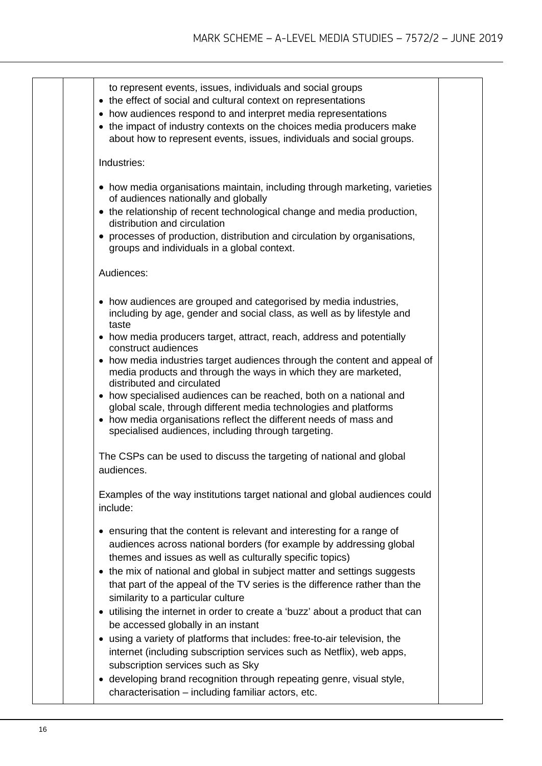| to represent events, issues, individuals and social groups<br>• the effect of social and cultural context on representations<br>• how audiences respond to and interpret media representations<br>• the impact of industry contexts on the choices media producers make<br>about how to represent events, issues, individuals and social groups.                                                                                                                                                                                                                                                                                                                                                                                                                                                     |
|------------------------------------------------------------------------------------------------------------------------------------------------------------------------------------------------------------------------------------------------------------------------------------------------------------------------------------------------------------------------------------------------------------------------------------------------------------------------------------------------------------------------------------------------------------------------------------------------------------------------------------------------------------------------------------------------------------------------------------------------------------------------------------------------------|
| Industries:                                                                                                                                                                                                                                                                                                                                                                                                                                                                                                                                                                                                                                                                                                                                                                                          |
| • how media organisations maintain, including through marketing, varieties<br>of audiences nationally and globally<br>• the relationship of recent technological change and media production,<br>distribution and circulation<br>• processes of production, distribution and circulation by organisations,<br>groups and individuals in a global context.                                                                                                                                                                                                                                                                                                                                                                                                                                            |
| Audiences:                                                                                                                                                                                                                                                                                                                                                                                                                                                                                                                                                                                                                                                                                                                                                                                           |
| • how audiences are grouped and categorised by media industries,<br>including by age, gender and social class, as well as by lifestyle and<br>taste<br>• how media producers target, attract, reach, address and potentially<br>construct audiences<br>• how media industries target audiences through the content and appeal of<br>media products and through the ways in which they are marketed,<br>distributed and circulated<br>• how specialised audiences can be reached, both on a national and<br>global scale, through different media technologies and platforms<br>• how media organisations reflect the different needs of mass and<br>specialised audiences, including through targeting.                                                                                              |
| The CSPs can be used to discuss the targeting of national and global<br>audiences.                                                                                                                                                                                                                                                                                                                                                                                                                                                                                                                                                                                                                                                                                                                   |
| Examples of the way institutions target national and global audiences could<br>include:                                                                                                                                                                                                                                                                                                                                                                                                                                                                                                                                                                                                                                                                                                              |
| • ensuring that the content is relevant and interesting for a range of<br>audiences across national borders (for example by addressing global<br>themes and issues as well as culturally specific topics)<br>• the mix of national and global in subject matter and settings suggests<br>that part of the appeal of the TV series is the difference rather than the<br>similarity to a particular culture<br>• utilising the internet in order to create a 'buzz' about a product that can<br>be accessed globally in an instant<br>• using a variety of platforms that includes: free-to-air television, the<br>internet (including subscription services such as Netflix), web apps,<br>subscription services such as Sky<br>• developing brand recognition through repeating genre, visual style, |
| characterisation - including familiar actors, etc.                                                                                                                                                                                                                                                                                                                                                                                                                                                                                                                                                                                                                                                                                                                                                   |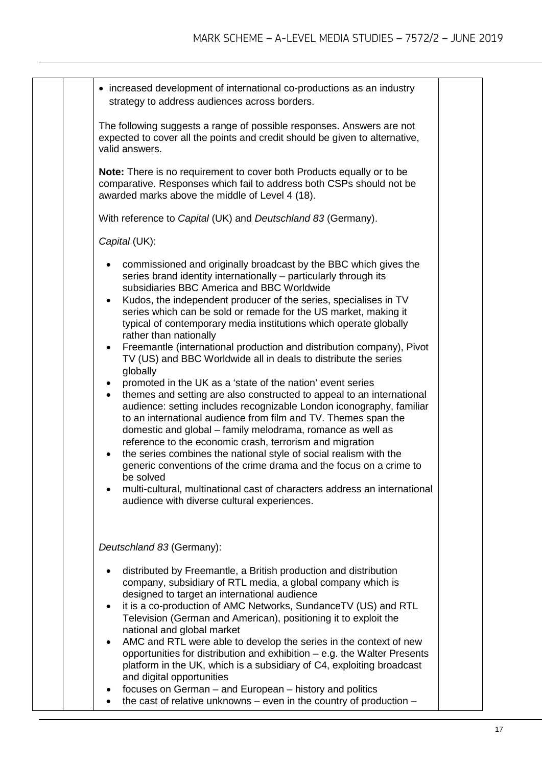| • increased development of international co-productions as an industry<br>strategy to address audiences across borders.                                                                                                                                                                                                                                                                                                                                                                                                                                                                                                                                                                                                                                                                                                                                                                                                                                                                                                                                                                                                                                                                                                                                                                                                             |  |
|-------------------------------------------------------------------------------------------------------------------------------------------------------------------------------------------------------------------------------------------------------------------------------------------------------------------------------------------------------------------------------------------------------------------------------------------------------------------------------------------------------------------------------------------------------------------------------------------------------------------------------------------------------------------------------------------------------------------------------------------------------------------------------------------------------------------------------------------------------------------------------------------------------------------------------------------------------------------------------------------------------------------------------------------------------------------------------------------------------------------------------------------------------------------------------------------------------------------------------------------------------------------------------------------------------------------------------------|--|
| The following suggests a range of possible responses. Answers are not<br>expected to cover all the points and credit should be given to alternative,<br>valid answers.                                                                                                                                                                                                                                                                                                                                                                                                                                                                                                                                                                                                                                                                                                                                                                                                                                                                                                                                                                                                                                                                                                                                                              |  |
| Note: There is no requirement to cover both Products equally or to be<br>comparative. Responses which fail to address both CSPs should not be<br>awarded marks above the middle of Level 4 (18).                                                                                                                                                                                                                                                                                                                                                                                                                                                                                                                                                                                                                                                                                                                                                                                                                                                                                                                                                                                                                                                                                                                                    |  |
| With reference to Capital (UK) and Deutschland 83 (Germany).                                                                                                                                                                                                                                                                                                                                                                                                                                                                                                                                                                                                                                                                                                                                                                                                                                                                                                                                                                                                                                                                                                                                                                                                                                                                        |  |
| Capital (UK):                                                                                                                                                                                                                                                                                                                                                                                                                                                                                                                                                                                                                                                                                                                                                                                                                                                                                                                                                                                                                                                                                                                                                                                                                                                                                                                       |  |
| commissioned and originally broadcast by the BBC which gives the<br>series brand identity internationally – particularly through its<br>subsidiaries BBC America and BBC Worldwide<br>Kudos, the independent producer of the series, specialises in TV<br>$\bullet$<br>series which can be sold or remade for the US market, making it<br>typical of contemporary media institutions which operate globally<br>rather than nationally<br>Freemantle (international production and distribution company), Pivot<br>$\bullet$<br>TV (US) and BBC Worldwide all in deals to distribute the series<br>globally<br>promoted in the UK as a 'state of the nation' event series<br>themes and setting are also constructed to appeal to an international<br>$\bullet$<br>audience: setting includes recognizable London iconography, familiar<br>to an international audience from film and TV. Themes span the<br>domestic and global - family melodrama, romance as well as<br>reference to the economic crash, terrorism and migration<br>the series combines the national style of social realism with the<br>$\bullet$<br>generic conventions of the crime drama and the focus on a crime to<br>be solved<br>multi-cultural, multinational cast of characters address an international<br>audience with diverse cultural experiences. |  |
| Deutschland 83 (Germany):                                                                                                                                                                                                                                                                                                                                                                                                                                                                                                                                                                                                                                                                                                                                                                                                                                                                                                                                                                                                                                                                                                                                                                                                                                                                                                           |  |
| distributed by Freemantle, a British production and distribution<br>company, subsidiary of RTL media, a global company which is<br>designed to target an international audience<br>it is a co-production of AMC Networks, SundanceTV (US) and RTL<br>$\bullet$<br>Television (German and American), positioning it to exploit the<br>national and global market<br>AMC and RTL were able to develop the series in the context of new<br>$\bullet$<br>opportunities for distribution and exhibition - e.g. the Walter Presents<br>platform in the UK, which is a subsidiary of C4, exploiting broadcast<br>and digital opportunities<br>focuses on German - and European - history and politics<br>the cast of relative unknowns - even in the country of production -                                                                                                                                                                                                                                                                                                                                                                                                                                                                                                                                                               |  |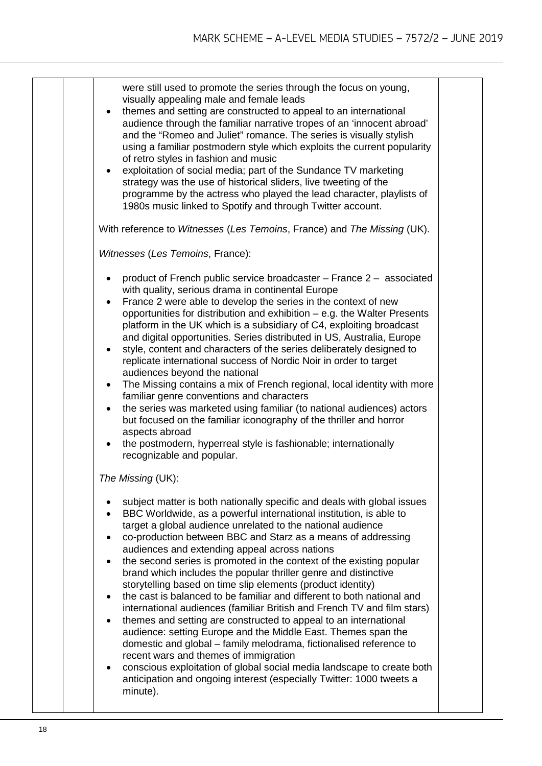| were still used to promote the series through the focus on young,<br>visually appealing male and female leads<br>themes and setting are constructed to appeal to an international<br>$\bullet$<br>audience through the familiar narrative tropes of an 'innocent abroad'<br>and the "Romeo and Juliet" romance. The series is visually stylish<br>using a familiar postmodern style which exploits the current popularity<br>of retro styles in fashion and music<br>exploitation of social media; part of the Sundance TV marketing<br>strategy was the use of historical sliders, live tweeting of the<br>programme by the actress who played the lead character, playlists of<br>1980s music linked to Spotify and through Twitter account.<br>With reference to Witnesses (Les Temoins, France) and The Missing (UK).<br>Witnesses (Les Temoins, France):<br>product of French public service broadcaster - France 2 - associated<br>with quality, serious drama in continental Europe<br>France 2 were able to develop the series in the context of new<br>opportunities for distribution and exhibition - e.g. the Walter Presents<br>platform in the UK which is a subsidiary of C4, exploiting broadcast<br>and digital opportunities. Series distributed in US, Australia, Europe<br>style, content and characters of the series deliberately designed to<br>$\bullet$<br>replicate international success of Nordic Noir in order to target<br>audiences beyond the national<br>The Missing contains a mix of French regional, local identity with more<br>$\bullet$<br>familiar genre conventions and characters<br>the series was marketed using familiar (to national audiences) actors<br>$\bullet$<br>but focused on the familiar iconography of the thriller and horror<br>aspects abroad<br>the postmodern, hyperreal style is fashionable; internationally<br>recognizable and popular.<br>The Missing (UK):<br>subject matter is both nationally specific and deals with global issues<br>BBC Worldwide, as a powerful international institution, is able to<br>$\bullet$<br>target a global audience unrelated to the national audience<br>co-production between BBC and Starz as a means of addressing<br>audiences and extending appeal across nations<br>the second series is promoted in the context of the existing popular<br>brand which includes the popular thriller genre and distinctive<br>storytelling based on time slip elements (product identity)<br>the cast is balanced to be familiar and different to both national and<br>international audiences (familiar British and French TV and film stars)<br>themes and setting are constructed to appeal to an international<br>$\bullet$<br>audience: setting Europe and the Middle East. Themes span the<br>domestic and global – family melodrama, fictionalised reference to<br>recent wars and themes of immigration<br>conscious exploitation of global social media landscape to create both<br>anticipation and ongoing interest (especially Twitter: 1000 tweets a<br>minute). |  |  |
|---------------------------------------------------------------------------------------------------------------------------------------------------------------------------------------------------------------------------------------------------------------------------------------------------------------------------------------------------------------------------------------------------------------------------------------------------------------------------------------------------------------------------------------------------------------------------------------------------------------------------------------------------------------------------------------------------------------------------------------------------------------------------------------------------------------------------------------------------------------------------------------------------------------------------------------------------------------------------------------------------------------------------------------------------------------------------------------------------------------------------------------------------------------------------------------------------------------------------------------------------------------------------------------------------------------------------------------------------------------------------------------------------------------------------------------------------------------------------------------------------------------------------------------------------------------------------------------------------------------------------------------------------------------------------------------------------------------------------------------------------------------------------------------------------------------------------------------------------------------------------------------------------------------------------------------------------------------------------------------------------------------------------------------------------------------------------------------------------------------------------------------------------------------------------------------------------------------------------------------------------------------------------------------------------------------------------------------------------------------------------------------------------------------------------------------------------------------------------------------------------------------------------------------------------------------------------------------------------------------------------------------------------------------------------------------------------------------------------------------------------------------------------------------------------------------------------------------------------------------------------------------------------------------------------------------------------------------------------------------------------------------------------------------------------------------------------|--|--|
|                                                                                                                                                                                                                                                                                                                                                                                                                                                                                                                                                                                                                                                                                                                                                                                                                                                                                                                                                                                                                                                                                                                                                                                                                                                                                                                                                                                                                                                                                                                                                                                                                                                                                                                                                                                                                                                                                                                                                                                                                                                                                                                                                                                                                                                                                                                                                                                                                                                                                                                                                                                                                                                                                                                                                                                                                                                                                                                                                                                                                                                                           |  |  |
|                                                                                                                                                                                                                                                                                                                                                                                                                                                                                                                                                                                                                                                                                                                                                                                                                                                                                                                                                                                                                                                                                                                                                                                                                                                                                                                                                                                                                                                                                                                                                                                                                                                                                                                                                                                                                                                                                                                                                                                                                                                                                                                                                                                                                                                                                                                                                                                                                                                                                                                                                                                                                                                                                                                                                                                                                                                                                                                                                                                                                                                                           |  |  |
|                                                                                                                                                                                                                                                                                                                                                                                                                                                                                                                                                                                                                                                                                                                                                                                                                                                                                                                                                                                                                                                                                                                                                                                                                                                                                                                                                                                                                                                                                                                                                                                                                                                                                                                                                                                                                                                                                                                                                                                                                                                                                                                                                                                                                                                                                                                                                                                                                                                                                                                                                                                                                                                                                                                                                                                                                                                                                                                                                                                                                                                                           |  |  |
|                                                                                                                                                                                                                                                                                                                                                                                                                                                                                                                                                                                                                                                                                                                                                                                                                                                                                                                                                                                                                                                                                                                                                                                                                                                                                                                                                                                                                                                                                                                                                                                                                                                                                                                                                                                                                                                                                                                                                                                                                                                                                                                                                                                                                                                                                                                                                                                                                                                                                                                                                                                                                                                                                                                                                                                                                                                                                                                                                                                                                                                                           |  |  |
|                                                                                                                                                                                                                                                                                                                                                                                                                                                                                                                                                                                                                                                                                                                                                                                                                                                                                                                                                                                                                                                                                                                                                                                                                                                                                                                                                                                                                                                                                                                                                                                                                                                                                                                                                                                                                                                                                                                                                                                                                                                                                                                                                                                                                                                                                                                                                                                                                                                                                                                                                                                                                                                                                                                                                                                                                                                                                                                                                                                                                                                                           |  |  |
|                                                                                                                                                                                                                                                                                                                                                                                                                                                                                                                                                                                                                                                                                                                                                                                                                                                                                                                                                                                                                                                                                                                                                                                                                                                                                                                                                                                                                                                                                                                                                                                                                                                                                                                                                                                                                                                                                                                                                                                                                                                                                                                                                                                                                                                                                                                                                                                                                                                                                                                                                                                                                                                                                                                                                                                                                                                                                                                                                                                                                                                                           |  |  |